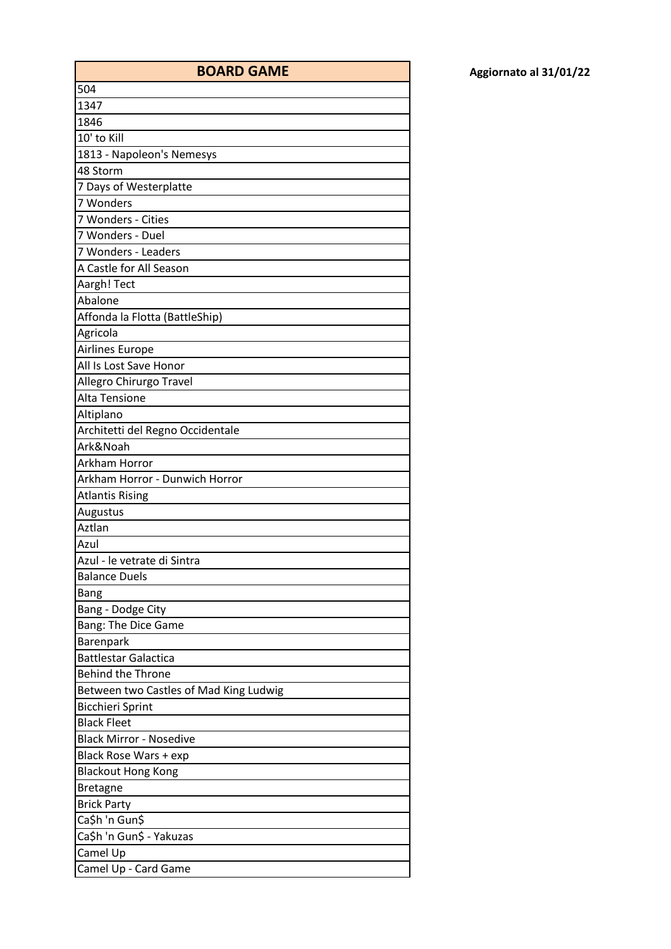| <b>BOARD GAME</b>                      |
|----------------------------------------|
| 504                                    |
| 1347                                   |
| 1846                                   |
| 10' to Kill                            |
| 1813 - Napoleon's Nemesys              |
| 48 Storm                               |
| 7 Days of Westerplatte                 |
| 7 Wonders                              |
| 7 Wonders - Cities                     |
| 7 Wonders - Duel                       |
| 7 Wonders - Leaders                    |
| A Castle for All Season                |
| Aargh! Tect                            |
| Abalone                                |
| Affonda la Flotta (BattleShip)         |
| Agricola                               |
| Airlines Europe                        |
| All Is Lost Save Honor                 |
| Allegro Chirurgo Travel                |
| Alta Tensione                          |
| Altiplano                              |
| Architetti del Regno Occidentale       |
| Ark&Noah                               |
| Arkham Horror                          |
| Arkham Horror - Dunwich Horror         |
| <b>Atlantis Rising</b>                 |
| Augustus                               |
| Aztlan                                 |
| Azul                                   |
| Azul - le vetrate di Sintra            |
| <b>Balance Duels</b>                   |
| <b>Bang</b>                            |
| Bang - Dodge City                      |
| Bang: The Dice Game                    |
| Barenpark                              |
| <b>Battlestar Galactica</b>            |
| <b>Behind the Throne</b>               |
| Between two Castles of Mad King Ludwig |
| <b>Bicchieri Sprint</b>                |
| <b>Black Fleet</b>                     |
| <b>Black Mirror - Nosedive</b>         |
| Black Rose Wars + exp                  |
| <b>Blackout Hong Kong</b>              |
| <b>Bretagne</b>                        |
| <b>Brick Party</b>                     |
| Ca\$h 'n Gun\$                         |
| Ca\$h 'n Gun\$ - Yakuzas               |
| Camel Up                               |
| Camel Up - Card Game                   |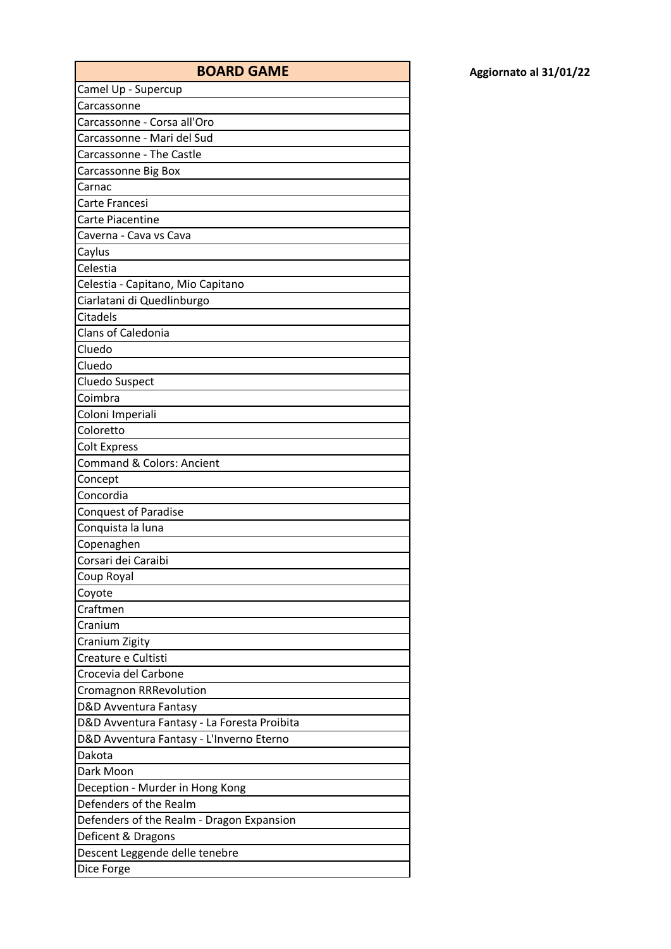| Aggiornato al 31/01/22 |
|------------------------|
|------------------------|

| <b>BOARD GAME</b>                           | Aggiornato al 31/01/22 |
|---------------------------------------------|------------------------|
| Camel Up - Supercup                         |                        |
| Carcassonne                                 |                        |
| Carcassonne - Corsa all'Oro                 |                        |
| Carcassonne - Mari del Sud                  |                        |
| Carcassonne - The Castle                    |                        |
| Carcassonne Big Box                         |                        |
| Carnac                                      |                        |
| Carte Francesi                              |                        |
| <b>Carte Piacentine</b>                     |                        |
| Caverna - Cava vs Cava                      |                        |
| Caylus                                      |                        |
| Celestia                                    |                        |
| Celestia - Capitano, Mio Capitano           |                        |
| Ciarlatani di Quedlinburgo                  |                        |
| Citadels                                    |                        |
| Clans of Caledonia                          |                        |
| Cluedo                                      |                        |
| Cluedo                                      |                        |
| Cluedo Suspect                              |                        |
| Coimbra                                     |                        |
| Coloni Imperiali                            |                        |
| Coloretto                                   |                        |
| <b>Colt Express</b>                         |                        |
| Command & Colors: Ancient                   |                        |
| Concept                                     |                        |
| Concordia                                   |                        |
| <b>Conquest of Paradise</b>                 |                        |
| Conquista la luna                           |                        |
| Copenaghen                                  |                        |
| Corsari dei Caraibi                         |                        |
| Coup Royal                                  |                        |
| Coyote                                      |                        |
| Craftmen                                    |                        |
| Cranium                                     |                        |
| Cranium Zigity                              |                        |
| Creature e Cultisti                         |                        |
| Crocevia del Carbone                        |                        |
| <b>Cromagnon RRRevolution</b>               |                        |
| D&D Avventura Fantasy                       |                        |
| D&D Avventura Fantasy - La Foresta Proibita |                        |
| D&D Avventura Fantasy - L'Inverno Eterno    |                        |
| Dakota                                      |                        |
| Dark Moon                                   |                        |
| Deception - Murder in Hong Kong             |                        |
| Defenders of the Realm                      |                        |
| Defenders of the Realm - Dragon Expansion   |                        |
| Deficent & Dragons                          |                        |
| Descent Leggende delle tenebre              |                        |
| Dice Forge                                  |                        |
|                                             |                        |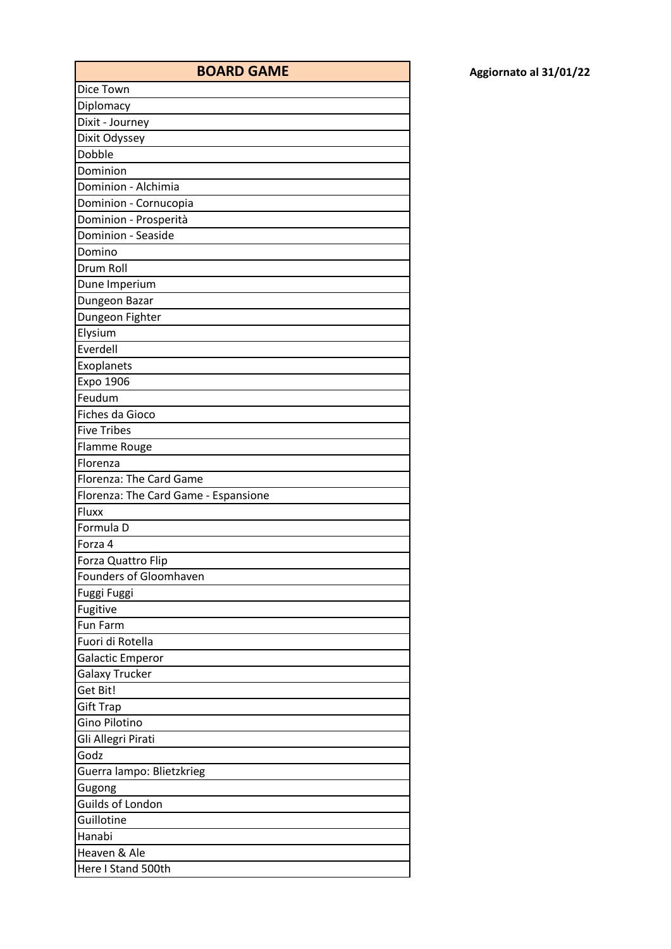| <b>BOARD GAME</b>                    |
|--------------------------------------|
| Dice Town                            |
| Diplomacy                            |
| Dixit - Journey                      |
| Dixit Odyssey                        |
| Dobble                               |
| Dominion                             |
| Dominion - Alchimia                  |
| Dominion - Cornucopia                |
| Dominion - Prosperità                |
| Dominion - Seaside                   |
| Domino                               |
| Drum Roll                            |
| Dune Imperium                        |
| Dungeon Bazar                        |
| Dungeon Fighter                      |
| Elysium                              |
| Everdell                             |
| Exoplanets                           |
| Expo 1906                            |
| Feudum                               |
| Fiches da Gioco                      |
| <b>Five Tribes</b>                   |
| Flamme Rouge                         |
| Florenza                             |
| Florenza: The Card Game              |
| Florenza: The Card Game - Espansione |
| Fluxx                                |
| Formula D                            |
| Forza 4                              |
| Forza Quattro Flip                   |
| Founders of Gloomhaven               |
| Fuggi Fuggi                          |
| Fugitive                             |
| Fun Farm                             |
| Fuori di Rotella                     |
| <b>Galactic Emperor</b>              |
| <b>Galaxy Trucker</b>                |
| Get Bit!                             |
| <b>Gift Trap</b>                     |
| <b>Gino Pilotino</b>                 |
| Gli Allegri Pirati                   |
| Godz                                 |
| Guerra lampo: Blietzkrieg            |
| Gugong                               |
| Guilds of London                     |
| Guillotine                           |
| Hanabi                               |
| Heaven & Ale                         |
| Here I Stand 500th                   |
|                                      |

**BOARD GAME Aggiornato al 31/01/22**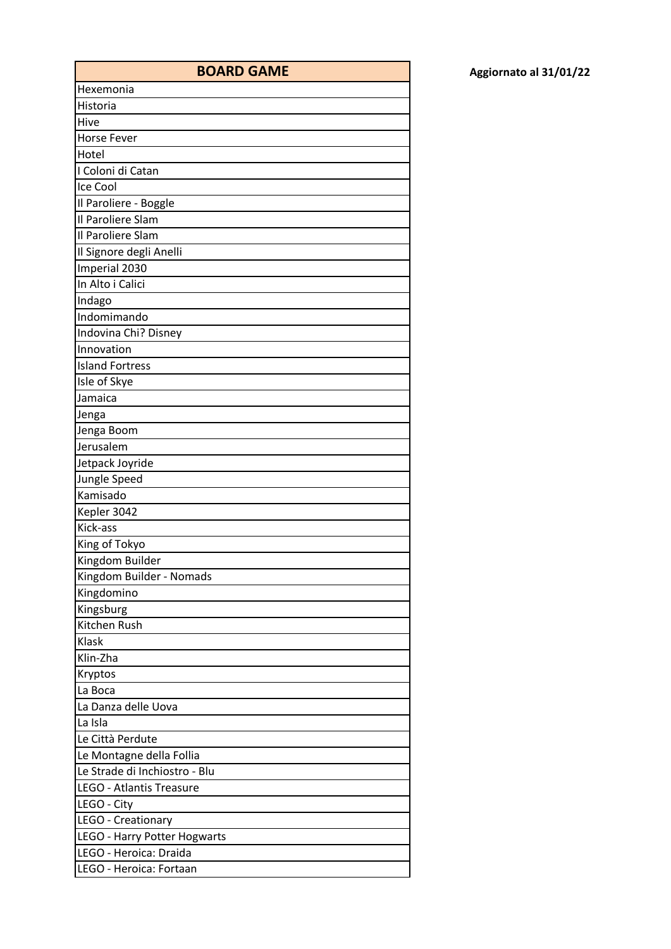| <b>BOARD GAME</b>               |
|---------------------------------|
| Hexemonia                       |
| Historia                        |
| Hive                            |
| <b>Horse Fever</b>              |
| Hotel                           |
| I Coloni di Catan               |
| Ice Cool                        |
| Il Paroliere - Boggle           |
| Il Paroliere Slam               |
| Il Paroliere Slam               |
| Il Signore degli Anelli         |
| Imperial 2030                   |
| In Alto i Calici                |
| Indago                          |
| Indomimando                     |
| Indovina Chi? Disney            |
| Innovation                      |
| <b>Island Fortress</b>          |
| Isle of Skye                    |
| Jamaica                         |
| Jenga                           |
| Jenga Boom                      |
| Jerusalem                       |
| Jetpack Joyride                 |
| Jungle Speed                    |
| Kamisado                        |
| Kepler 3042                     |
| Kick-ass                        |
| King of Tokyo                   |
| Kingdom Builder                 |
| Kingdom Builder - Nomads        |
| Kingdomino                      |
| Kingsburg                       |
| Kitchen Rush                    |
| Klask                           |
| Klin-Zha                        |
| Kryptos                         |
| La Boca                         |
| La Danza delle Uova             |
| La Isla                         |
| Le Città Perdute                |
| Le Montagne della Follia        |
| Le Strade di Inchiostro - Blu   |
| <b>LEGO - Atlantis Treasure</b> |
| LEGO - City                     |
| LEGO - Creationary              |
| LEGO - Harry Potter Hogwarts    |
| LEGO - Heroica: Draida          |
| LEGO - Heroica: Fortaan         |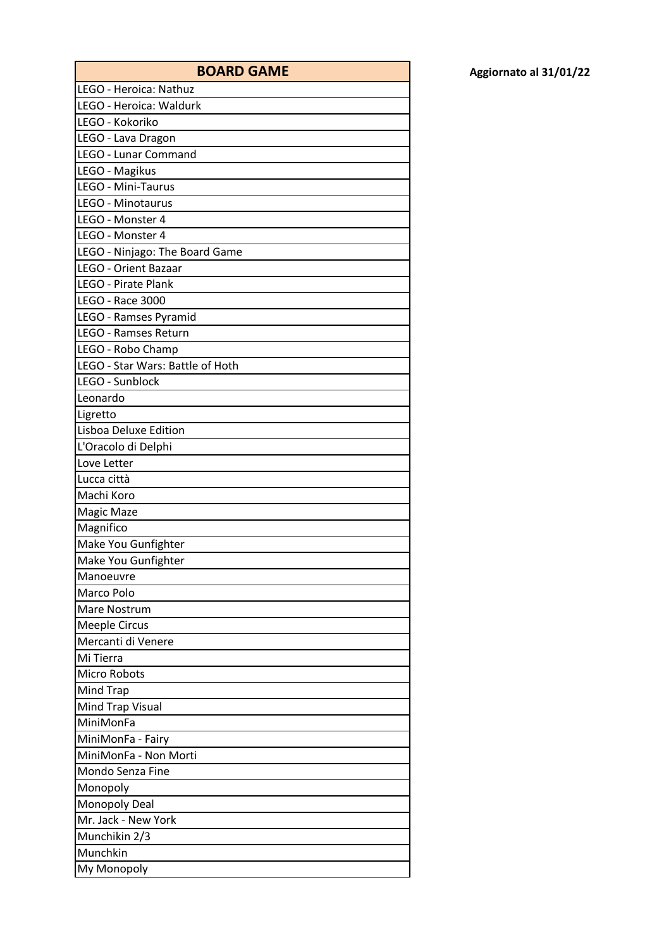| Aggiornato al 31/01/22 |  |  |
|------------------------|--|--|
|------------------------|--|--|

| <b>BOARD GAME</b>                | Aggiornato al 31/01/22 |
|----------------------------------|------------------------|
| LEGO - Heroica: Nathuz           |                        |
| LEGO - Heroica: Waldurk          |                        |
| LEGO - Kokoriko                  |                        |
| LEGO - Lava Dragon               |                        |
| LEGO - Lunar Command             |                        |
| LEGO - Magikus                   |                        |
| LEGO - Mini-Taurus               |                        |
| LEGO - Minotaurus                |                        |
| LEGO - Monster 4                 |                        |
| LEGO - Monster 4                 |                        |
| LEGO - Ninjago: The Board Game   |                        |
| <b>LEGO - Orient Bazaar</b>      |                        |
| <b>LEGO - Pirate Plank</b>       |                        |
| LEGO - Race 3000                 |                        |
| LEGO - Ramses Pyramid            |                        |
| LEGO - Ramses Return             |                        |
| LEGO - Robo Champ                |                        |
| LEGO - Star Wars: Battle of Hoth |                        |
| LEGO - Sunblock                  |                        |
| Leonardo                         |                        |
| Ligretto                         |                        |
| Lisboa Deluxe Edition            |                        |
| L'Oracolo di Delphi              |                        |
| Love Letter                      |                        |
| Lucca città                      |                        |
| Machi Koro                       |                        |
| Magic Maze                       |                        |
| Magnifico                        |                        |
| Make You Gunfighter              |                        |
| Make You Gunfighter              |                        |
| Manoeuvre                        |                        |
| Marco Polo                       |                        |
| Mare Nostrum                     |                        |
| <b>Meeple Circus</b>             |                        |
| Mercanti di Venere               |                        |
| Mi Tierra                        |                        |
| <b>Micro Robots</b>              |                        |
| Mind Trap                        |                        |
| Mind Trap Visual                 |                        |
| MiniMonFa                        |                        |
| MiniMonFa - Fairy                |                        |
| MiniMonFa - Non Morti            |                        |
| Mondo Senza Fine                 |                        |
| Monopoly                         |                        |
| <b>Monopoly Deal</b>             |                        |
| Mr. Jack - New York              |                        |
| Munchikin 2/3                    |                        |
| Munchkin                         |                        |
| My Monopoly                      |                        |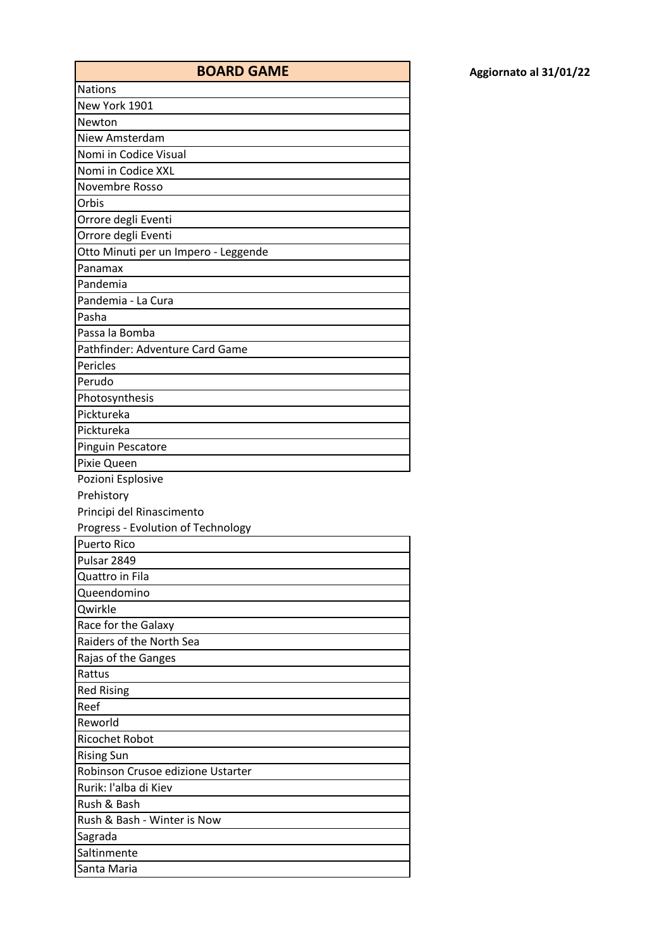| <b>BOARD GAME</b>                    |
|--------------------------------------|
| <b>Nations</b>                       |
| New York 1901                        |
| Newton                               |
| Niew Amsterdam                       |
| Nomi in Codice Visual                |
| Nomi in Codice XXL                   |
| Novembre Rosso                       |
| Orbis                                |
| Orrore degli Eventi                  |
| Orrore degli Eventi                  |
| Otto Minuti per un Impero - Leggende |
| Panamax                              |
| Pandemia                             |
| Pandemia - La Cura                   |
| Pasha                                |
| Passa la Bomba                       |
| Pathfinder: Adventure Card Game      |
| Pericles                             |
| Perudo                               |
| Photosynthesis                       |
| Picktureka                           |
| Picktureka                           |
| Pinguin Pescatore                    |
| Pixie Queen                          |
| Pozioni Esplosive                    |
| Prehistory                           |
| Principi del Rinascimento            |
| Progress - Evolution of Technology   |
| <b>Puerto Rico</b>                   |
| Pulsar 2849                          |
| Quattro in Fila                      |
| Queendomino                          |
| Qwirkle                              |
| Race for the Galaxy                  |
| Raiders of the North Sea             |
| Rajas of the Ganges                  |
| Rattus                               |
| <b>Red Rising</b>                    |
| Reef                                 |
| Reworld                              |
| <b>Ricochet Robot</b>                |
| <b>Rising Sun</b>                    |
| Robinson Crusoe edizione Ustarter    |
| Rurik: l'alba di Kiev                |
| Rush & Bash                          |
| Rush & Bash - Winter is Now          |
| Sagrada                              |
| Saltinmente                          |
| Santa Maria                          |

**BOARD GAME Aggiornato al 31/01/22**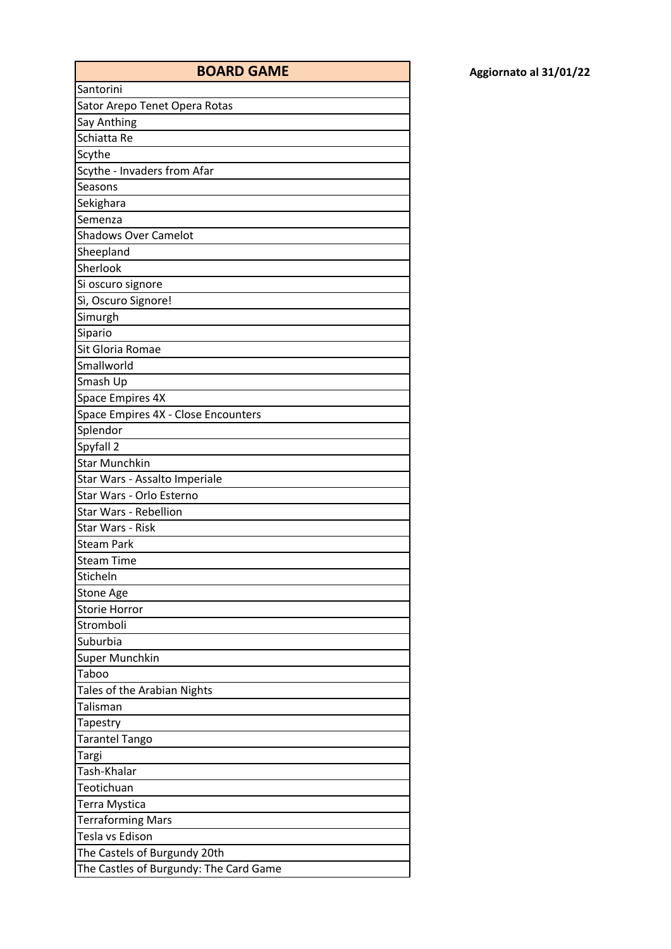| <b>BOARD GAME</b>                      |
|----------------------------------------|
| Santorini                              |
| Sator Arepo Tenet Opera Rotas          |
| Say Anthing                            |
| Schiatta Re                            |
| Scythe                                 |
| Scythe - Invaders from Afar            |
| Seasons                                |
| Sekighara                              |
| Semenza                                |
| <b>Shadows Over Camelot</b>            |
| Sheepland                              |
| Sherlook                               |
| Si oscuro signore                      |
| Sì, Oscuro Signore!                    |
| Simurgh                                |
| Sipario                                |
| Sit Gloria Romae                       |
| Smallworld                             |
| Smash Up                               |
| <b>Space Empires 4X</b>                |
| Space Empires 4X - Close Encounters    |
| Splendor                               |
| Spyfall 2                              |
| <b>Star Munchkin</b>                   |
| Star Wars - Assalto Imperiale          |
| Star Wars - Orlo Esterno               |
| Star Wars - Rebellion                  |
| Star Wars - Risk                       |
| <b>Steam Park</b>                      |
| <b>Steam Time</b>                      |
| Sticheln                               |
| <b>Stone Age</b>                       |
| <b>Storie Horror</b>                   |
| Stromboli                              |
| Suburbia                               |
| Super Munchkin                         |
| Taboo                                  |
| Tales of the Arabian Nights            |
| Talisman                               |
| Tapestry                               |
| <b>Tarantel Tango</b>                  |
| Targi                                  |
| Tash-Khalar                            |
| Teotichuan                             |
| Terra Mystica                          |
| <b>Terraforming Mars</b>               |
| Tesla vs Edison                        |
| The Castels of Burgundy 20th           |
| The Castles of Burgundy: The Card Game |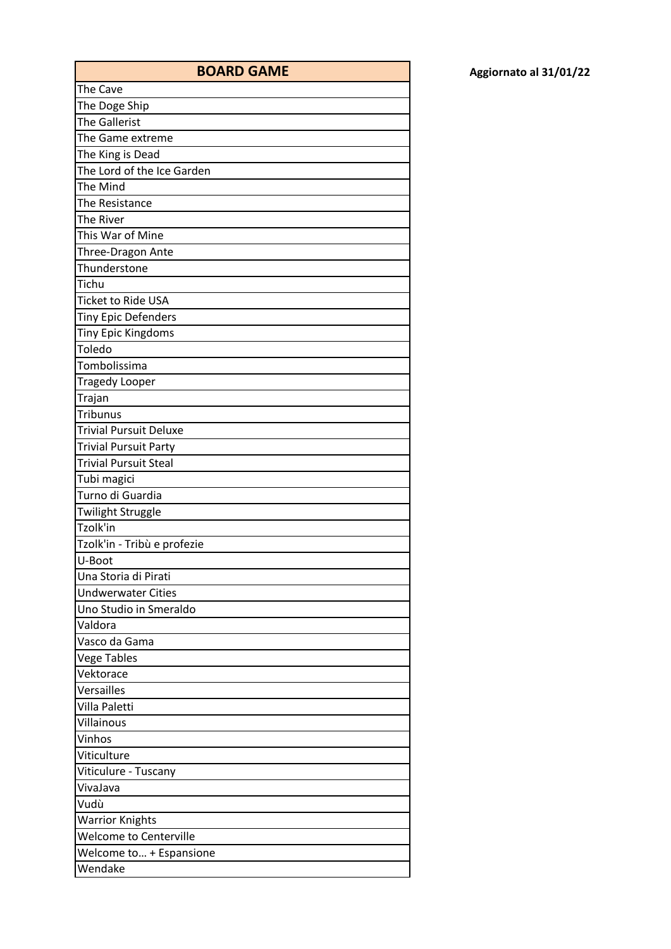| <b>BOARD GAME</b>             |
|-------------------------------|
| The Cave                      |
| The Doge Ship                 |
| <b>The Gallerist</b>          |
| The Game extreme              |
| The King is Dead              |
| The Lord of the Ice Garden    |
| The Mind                      |
| The Resistance                |
| The River                     |
| This War of Mine              |
| Three-Dragon Ante             |
| Thunderstone                  |
| Tichu                         |
| <b>Ticket to Ride USA</b>     |
| <b>Tiny Epic Defenders</b>    |
| <b>Tiny Epic Kingdoms</b>     |
| Toledo                        |
| Tombolissima                  |
| <b>Tragedy Looper</b>         |
| Trajan                        |
| Tribunus                      |
| <b>Trivial Pursuit Deluxe</b> |
| <b>Trivial Pursuit Party</b>  |
| <b>Trivial Pursuit Steal</b>  |
| Tubi magici                   |
| Turno di Guardia              |
| Twilight Struggle             |
| Tzolk'in                      |
| Tzolk'in - Tribù e profezie   |
| U-Boot                        |
| Una Storia di Pirati          |
| <b>Undwerwater Cities</b>     |
| Uno Studio in Smeraldo        |
| Valdora                       |
| Vasco da Gama                 |
| <b>Vege Tables</b>            |
| Vektorace                     |
| Versailles                    |
| Villa Paletti                 |
| Villainous                    |
| Vinhos                        |
| Viticulture                   |
| Viticulure - Tuscany          |
| VivaJava                      |
| Vudù                          |
| <b>Warrior Knights</b>        |
| <b>Welcome to Centerville</b> |
| Welcome to + Espansione       |
| Wendake                       |
|                               |